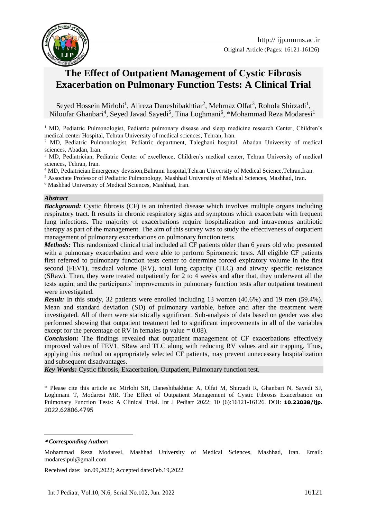

# **The Effect of Outpatient Management of Cystic Fibrosis Exacerbation on Pulmonary Function Tests: A Clinical Trial**

Seyed Hossein Mirlohi<sup>1</sup>, Alireza Daneshibakhtiar<sup>2</sup>, Mehrnaz Olfat<sup>3</sup>, Rohola Shirzadi<sup>1</sup>, Niloufar Ghanbari<sup>4</sup>, Seyed Javad Sayedi<sup>5</sup>, Tina Loghmani<sup>6</sup>, \*Mohammad Reza Modaresi<sup>1</sup>

<sup>1</sup> MD, Pediatric Pulmonologist, Pediatric pulmonary disease and sleep medicine research Center, Children's medical center Hospital, Tehran University of medical sciences, Tehran, Iran.

<sup>2</sup> MD, Pediatric Pulmonologist, Pediatric department, Taleghani hospital, Abadan University of medical sciences, Abadan, Iran.

<sup>3</sup> MD, Pediatrician, Pediatric Center of excellence, Children's medical center, Tehran University of medical sciences, Tehran, Iran.

<sup>4</sup> MD, Pediatrician.Emergency devision,Bahrami hospital,Tehran University of Medical Science,Tehran,Iran.

<sup>5</sup> Associate Professor of Pediatric Pulmonology, Mashhad University of Medical Sciences, Mashhad, Iran.

<sup>6</sup> Mashhad University of Medical Sciences, Mashhad, Iran.

#### *Abstract*

*Background:* Cystic fibrosis (CF) is an inherited disease which involves multiple organs including respiratory tract. It results in chronic respiratory signs and symptoms which exacerbate with frequent lung infections. The majority of exacerbations require hospitalization and intravenous antibiotic therapy as part of the management. The aim of this survey was to study the effectiveness of outpatient management of pulmonary exacerbations on pulmonary function tests.

*Methods:* This randomized clinical trial included all CF patients older than 6 years old who presented with a pulmonary exacerbation and were able to perform Spirometric tests. All eligible CF patients first referred to pulmonary function tests center to determine forced expiratory volume in the first second (FEV1), residual volume (RV), total lung capacity (TLC) and airway specific resistance (SRaw). Then, they were treated outpatiently for 2 to 4 weeks and after that, they underwent all the tests again; and the participants' improvements in pulmonary function tests after outpatient treatment were investigated.

*Result:* In this study, 32 patients were enrolled including 13 women (40.6%) and 19 men (59.4%). Mean and standard deviation (SD) of pulmonary variable, before and after the treatment were investigated. All of them were statistically significant. Sub-analysis of data based on gender was also performed showing that outpatient treatment led to significant improvements in all of the variables except for the percentage of RV in females (p value  $= 0.08$ ).

*Conclusion:* The findings revealed that outpatient management of CF exacerbations effectively improved values of FEV1, SRaw and TLC along with reducing RV values and air trapping. Thus, applying this method on appropriately selected CF patients, may prevent unnecessary hospitalization and subsequent disadvantages.

*Key Words:* Cystic fibrosis, Exacerbation, Outpatient, Pulmonary function test.

\* Please cite this article as: Mirlohi SH, Daneshibakhtiar A, Olfat M, Shirzadi R, Ghanbari N, Sayedi SJ, Loghmani T, Modaresi MR. The Effect of Outpatient Management of Cystic Fibrosis Exacerbation on Pulmonary Function Tests: A Clinical Trial. Int J Pediatr 2022; 10 (6):16121-16126. DOI: **10.22038/ijp.** 2022.62806.4795

1

Received date: Jan.09,2022; Accepted date:Feb.19,2022

**<sup>\*</sup>** *Corresponding Author:*

Mohammad Reza Modaresi, Mashhad University of Medical Sciences, Mashhad, Iran. Email: modaresipul@gmail.com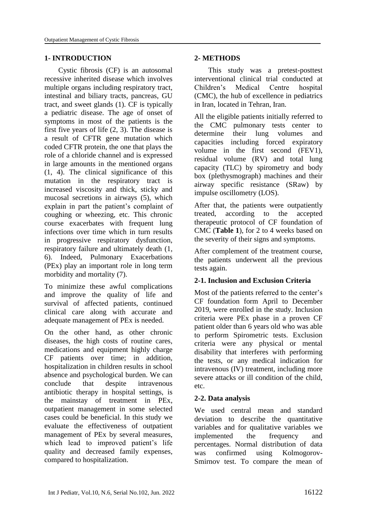### **1- INTRODUCTION**

Cystic fibrosis (CF) is an autosomal recessive inherited disease which involves multiple organs including respiratory tract, intestinal and biliary tracts, pancreas, GU tract, and sweet glands (1). CF is typically a pediatric disease. The age of onset of symptoms in most of the patients is the first five years of life (2, 3). The disease is a result of CFTR gene mutation which coded CFTR protein, the one that plays the role of a chloride channel and is expressed in large amounts in the mentioned organs (1, 4). The clinical significance of this mutation in the respiratory tract is increased viscosity and thick, sticky and mucosal secretions in airways (5), which explain in part the patient's complaint of coughing or wheezing, etc. This chronic course exacerbates with frequent lung infections over time which in turn results in progressive respiratory dysfunction, respiratory failure and ultimately death (1, 6). Indeed, Pulmonary Exacerbations (PEx) play an important role in long term morbidity and mortality (7).

To minimize these awful complications and improve the quality of life and survival of affected patients, continued clinical care along with accurate and adequate management of PEx is needed.

On the other hand, as other chronic diseases, the high costs of routine cares, medications and equipment highly charge CF patients over time; in addition, hospitalization in children results in school absence and psychological burden. We can conclude that despite intravenous antibiotic therapy in hospital settings, is the mainstay of treatment in PEx, outpatient management in some selected cases could be beneficial. In this study we evaluate the effectiveness of outpatient management of PEx by several measures, which lead to improved patient's life quality and decreased family expenses, compared to hospitalization.

### **2- METHODS**

This study was a pretest-posttest interventional clinical trial conducted at Children's Medical Centre hospital (CMC), the hub of excellence in pediatrics in Iran, located in Tehran, Iran.

All the eligible patients initially referred to the CMC pulmonary tests center to determine their lung volumes and capacities including forced expiratory volume in the first second (FEV1), residual volume (RV) and total lung capacity (TLC) by spirometry and body box (plethysmograph) machines and their airway specific resistance (SRaw) by impulse oscillometry (LOS).

After that, the patients were outpatiently treated, according to the accepted therapeutic protocol of CF foundation of CMC (**Table 1**), for 2 to 4 weeks based on the severity of their signs and symptoms.

After complement of the treatment course, the patients underwent all the previous tests again.

## **2-1. Inclusion and Exclusion Criteria**

Most of the patients referred to the center's CF foundation form April to December 2019, were enrolled in the study. Inclusion criteria were PEx phase in a proven CF patient older than 6 years old who was able to perform Spirometric tests. Exclusion criteria were any physical or mental disability that interferes with performing the tests, or any medical indication for intravenous (IV) treatment, including more severe attacks or ill condition of the child, etc.

### **2-2. Data analysis**

We used central mean and standard deviation to describe the quantitative variables and for qualitative variables we implemented the frequency and percentages. Normal distribution of data was confirmed using Kolmogorov-Smirnov test. To compare the mean of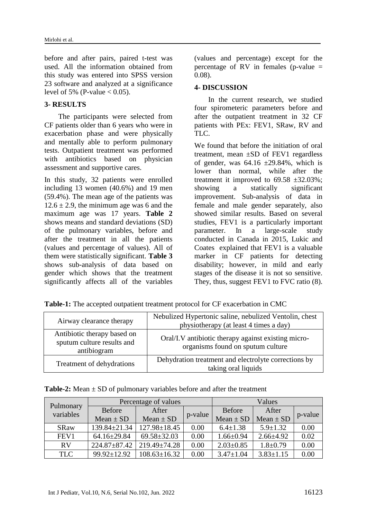before and after pairs, paired t-test was used. All the information obtained from this study was entered into SPSS version 23 software and analyzed at a significance level of 5% (P-value  $< 0.05$ ).

### **3- RESULTS**

The participants were selected from CF patients older than 6 years who were in exacerbation phase and were physically and mentally able to perform pulmonary tests. Outpatient treatment was performed with antibiotics based on physician assessment and supportive cares.

In this study, 32 patients were enrolled including 13 women (40.6%) and 19 men (59.4%). The mean age of the patients was  $12.6 \pm 2.9$ , the minimum age was 6 and the maximum age was 17 years. **Table 2** shows means and standard deviations (SD) of the pulmonary variables, before and after the treatment in all the patients (values and percentage of values). All of them were statistically significant. **Table 3** shows sub-analysis of data based on gender which shows that the treatment significantly affects all of the variables

(values and percentage) except for the percentage of RV in females (p-value  $=$ 0.08).

### **4- DISCUSSION**

In the current research, we studied four spirometeric parameters before and after the outpatient treatment in 32 CF patients with PEx: FEV1, SRaw, RV and TLC.

We found that before the initiation of oral treatment, mean ±SD of FEV1 regardless of gender, was  $64.16 \pm 29.84\%$ , which is lower than normal, while after the treatment it improved to  $69.58 \pm 32.03\%$ : showing a statically significant improvement. Sub-analysis of data in female and male gender separately, also showed similar results. Based on several studies, FEV1 is a particularly important parameter. In a large-scale study conducted in Canada in 2015, [Lukic a](https://www.ncbi.nlm.nih.gov/pubmed/?term=Lukic%20KZ%5BAuthor%5D&cauthor=true&cauthor_uid=26079395)nd [Coates](https://www.ncbi.nlm.nih.gov/pubmed/?term=Coates%20AL%5BAuthor%5D&cauthor=true&cauthor_uid=26079395) explained that FEV1 is a valuable marker in CF patients for detecting disability; however, in mild and early stages of the disease it is not so sensitive. They, thus, suggest FEV1 to FVC ratio  $(8)$ .

| Airway clearance therapy                                                 | Nebulized Hypertonic saline, nebulized Ventolin, chest<br>physiotherapy (at least 4 times a day) |  |  |
|--------------------------------------------------------------------------|--------------------------------------------------------------------------------------------------|--|--|
| Antibiotic therapy based on<br>sputum culture results and<br>antibiogram | Oral/I.V antibiotic therapy against existing micro-<br>organisms found on sputum culture         |  |  |
| Treatment of dehydrations                                                | Dehydration treatment and electrolyte corrections by<br>taking oral liquids                      |  |  |

| Pulmonary<br>variables | Percentage of values |                    |         | Values          |                 |         |
|------------------------|----------------------|--------------------|---------|-----------------|-----------------|---------|
|                        | Before               | After              |         | Before          | After           | p-value |
|                        | $Mean \pm SD$        | $Mean \pm SD$      | p-value | $Mean \pm SD$   | $Mean \pm SD$   |         |
| <b>SRaw</b>            | 139.84±21.34         | $127.98 \pm 18.45$ | 0.00    | $6.4 \pm 1.38$  | $5.9 \pm 1.32$  | 0.00    |
| FEV1                   | $64.16 \pm 29.84$    | $69.58 \pm 32.03$  | 0.00    | $1.66 \pm 0.94$ | $2.66\pm4.92$   | 0.02    |
| <b>RV</b>              | $224.87 \pm 87.42$   | $219.49 \pm 74.28$ | 0.00    | $2.03 \pm 0.85$ | $1.8 \pm 0.79$  | 0.00    |
| <b>TLC</b>             | $99.92 \pm 12.92$    | $108.63 \pm 16.32$ | 0.00    | $3.47 \pm 1.04$ | $3.83 \pm 1.15$ | 0.00    |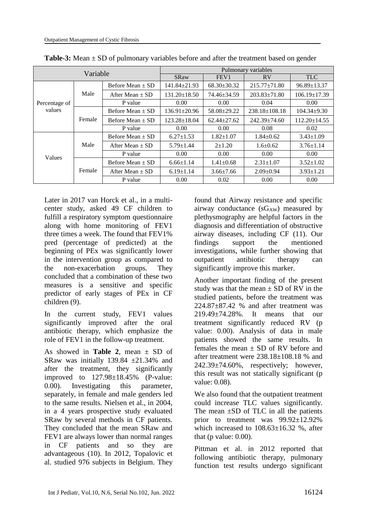| Variable                |        | Pulmonary variables  |                    |                   |                     |                    |  |
|-------------------------|--------|----------------------|--------------------|-------------------|---------------------|--------------------|--|
|                         |        | <b>SRaw</b>          | FEV <sub>1</sub>   | <b>RV</b>         | <b>TLC</b>          |                    |  |
| Percentage of<br>values | Male   | Before Mean $\pm$ SD | $141.84 \pm 21.93$ | $68.30 \pm 30.32$ | $215.77 \pm 71.80$  | $96.89 \pm 13.37$  |  |
|                         |        | After Mean $\pm$ SD  | $131.20 \pm 18.50$ | 74.46±34.59       | $203.83 + 71.80$    | $106.19 \pm 17.39$ |  |
|                         |        | P value              | 0.00 <sub>1</sub>  | 0.00              | 0.04                | 0.00               |  |
|                         | Female | Before Mean $\pm$ SD | $136.91 \pm 20.96$ | 58.08±29.22       | $238.18 \pm 108.18$ | $104.34 \pm 9.30$  |  |
|                         |        | Before Mean $\pm$ SD | $123.28 \pm 18.04$ | $62.44 + 27.62$   | $242.39 + 74.60$    | $112.20 \pm 14.55$ |  |
|                         |        | P value              | 0.00               | 0.00              | 0.08                | 0.02               |  |
| Values                  | Male   | Before Mean $\pm$ SD | $6.27 \pm 1.53$    | $1.82 \pm 1.07$   | $1.84 \pm 0.62$     | $3.43 \pm 1.09$    |  |
|                         |        | After Mean $\pm$ SD  | $5.79 \pm 1.44$    | $2 + 1.20$        | $1.6 \pm 0.62$      | $3.76 \pm 1.14$    |  |
|                         |        | P value              | 0.00               | 0.00              | 0.00                | 0.00               |  |
|                         | Female | Before Mean $\pm$ SD | $6.66 \pm 1.14$    | $1.41 \pm 0.68$   | $2.31 \pm 1.07$     | $3.52 \pm 1.02$    |  |
|                         |        | After Mean $\pm$ SD  | $6.19 \pm 1.14$    | $3.66 \pm 7.66$   | $2.09 \pm 0.94$     | $3.93 \pm 1.21$    |  |
|                         |        | P value              | 0.00               | 0.02              | 0.00                | 0.00               |  |

**Table-3:** Mean  $\pm$  SD of pulmonary variables before and after the treatment based on gender

Later in 2017 van Horck et al., in a multicenter study, asked 49 CF children to fulfill a respiratory symptom questionnaire along with home monitoring of FEV1 three times a week. The found that FEV1% pred (percentage of predicted) at the beginning of PEx was significantly lower in the intervention group as compared to the non-exacerbation groups. They concluded that a combination of these two measures is a sensitive and specific predictor of early stages of PEx in CF children (9).

In the current study, FEV1 values significantly improved after the oral antibiotic therapy, which emphasize the role of FEV1 in the follow-up treatment.

As showed in **Table 2**, mean  $\pm$  SD of SRaw was initially  $139.84 \pm 21.34\%$  and after the treatment, they significantly improved to 127.98±18.45% (P-value: 0.00). Investigating this parameter, separately, in female and male genders led to the same results. Nielsen et al., in 2004, in a 4 years prospective study evaluated SRaw by several methods in CF patients. They concluded that the mean SRaw and FEV1 are always lower than normal ranges in CF patients and so they are advantageous (10). In 2012, Topalovic et al. studied 976 subjects in Belgium. They

found that Airway resistance and specific airway conductance  $(sG_{AW})$  measured by plethysmography are helpful factors in the diagnosis and differentiation of obstructive airway diseases, including CF (11). Our findings support the mentioned investigations, while further showing that outpatient antibiotic therapy can significantly improve this marker.

Another important finding of the present study was that the mean  $\pm$  SD of RV in the studied patients, before the treatment was  $224.87\pm87.42$  % and after treatment was 219.49±74.28%. It means that our treatment significantly reduced RV (p value: 0.00). Analysis of data in male patients showed the same results. In females the mean  $\pm$  SD of RV before and after treatment were 238.18±108.18 % and  $242.39\pm74.60\%$ , respectively; however, this result was not statically significant (p value: 0.08).

We also found that the outpatient treatment could increase TLC values significantly. The mean  $\pm$ SD of TLC in all the patients prior to treatment was  $99.92 \pm 12.92\%$ which increased to  $108.63+16.32$  %, after that (p value: 0.00).

Pittman et al. in 2012 reported that following antibiotic therapy, pulmonary function test results undergo significant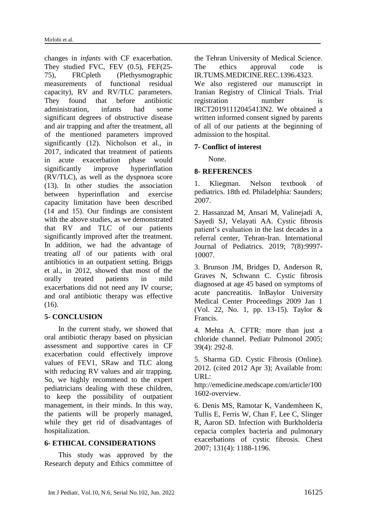changes in *infants* with CF exacerbation. They studied FVC, FEV (0.5), FEF(25- 75), FRCpleth (Plethysmographic measurements of functional residual capacity), RV and RV/TLC parameters. They found that before antibiotic administration, infants had some significant degrees of obstructive disease and air trapping and after the treatment, all of the mentioned parameters improved significantly (12). Nicholson et al., in 2017, indicated that treatment of patients in acute exacerbation phase would significantly improve hyperinflation (RV/TLC), as well as the dyspnoea score (13). In other studies the association between hyperinflation and exercise capacity limitation have been described (14 and 15). Our findings are consistent with the above studies, as we demonstrated that RV and TLC of our patients significantly improved after the treatment. In addition, we had the advantage of treating *all* of our patients with oral antibiotics in an outpatient setting. Briggs et al., in 2012, showed that most of the orally treated patients in mild exacerbations did not need any IV course; and oral antibiotic therapy was effective (16).

### **5- CONCLUSION**

In the current study, we showed that oral antibiotic therapy based on physician assessment and supportive cares in CF exacerbation could effectively improve values of FEV1, SRaw and TLC along with reducing RV values and air trapping. So, we highly recommend to the expert pediatricians dealing with these children, to keep the possibility of outpatient management, in their minds. In this way, the patients will be properly managed, while they get rid of disadvantages of hospitalization.

### **6- ETHICAL CONSIDERATIONS**

This study was approved by the Research deputy and Ethics committee of the Tehran University of Medical Science. The ethics approval code is IR.TUMS.MEDICINE.REC.1396.4323.

We also registered our manuscript in Iranian Registry of Clinical Trials. Trial registration number is IRCT20191112045413N2. We obtained a written informed consent signed by parents of all of our patients at the beginning of admission to the hospital.

### **7- Conflict of interest**

None.

### **8- REFERENCES**

1. Kliegman. Nelson textbook of pediatrics. 18th ed. Philadelphia: Saunders; 2007.

2. Hassanzad M, Ansari M, Valinejadi A, Sayedi SJ, Velayati AA. Cystic fibrosis patient's evaluation in the last decades in a referral center, Tehran-Iran. International Journal of Pediatrics. 2019; 7(8):9997- 10007.

3. Brunson JM, Bridges D, Anderson R, Graves N, Schwann C. Cystic fibrosis diagnosed at age 45 based on symptoms of acute pancreatitis. InBaylor University Medical Center Proceedings 2009 Jan 1 (Vol. 22, No. 1, pp. 13-15). Taylor & Francis.

4. Mehta A. CFTR: more than just a chloride channel. Pediatr Pulmonol 2005; 39(4): 292-8.

5. Sharma GD. Cystic Fibrosis (Online). 2012. (cited 2012 Apr 3); Available from: URL:

http://emedicine.medscape.com/article/100 1602-overview.

6. Denis MS, Ramotar K, Vandemheen K, Tullis E, Ferris W, Chan F, Lee C, Slinger R, Aaron SD. Infection with Burkholderia cepacia complex bacteria and pulmonary exacerbations of cystic fibrosis. Chest 2007; 131(4): 1188-1196.